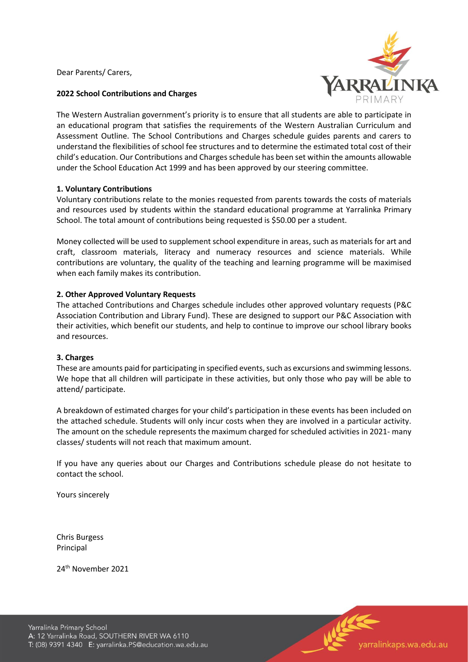Dear Parents/ Carers,



# **2022 School Contributions and Charges**

The Western Australian government's priority is to ensure that all students are able to participate in an educational program that satisfies the requirements of the Western Australian Curriculum and Assessment Outline. The School Contributions and Charges schedule guides parents and carers to understand the flexibilities of school fee structures and to determine the estimated total cost of their child's education. Our Contributions and Charges schedule has been set within the amounts allowable under the School Education Act 1999 and has been approved by our steering committee.

# **1. Voluntary Contributions**

Voluntary contributions relate to the monies requested from parents towards the costs of materials and resources used by students within the standard educational programme at Yarralinka Primary School. The total amount of contributions being requested is \$50.00 per a student.

Money collected will be used to supplement school expenditure in areas, such as materials for art and craft, classroom materials, literacy and numeracy resources and science materials. While contributions are voluntary, the quality of the teaching and learning programme will be maximised when each family makes its contribution.

# **2. Other Approved Voluntary Requests**

The attached Contributions and Charges schedule includes other approved voluntary requests (P&C Association Contribution and Library Fund). These are designed to support our P&C Association with their activities, which benefit our students, and help to continue to improve our school library books and resources.

#### **3. Charges**

These are amounts paid for participating in specified events, such as excursions and swimming lessons. We hope that all children will participate in these activities, but only those who pay will be able to attend/ participate.

A breakdown of estimated charges for your child's participation in these events has been included on the attached schedule. Students will only incur costs when they are involved in a particular activity. The amount on the schedule represents the maximum charged for scheduled activities in 2021- many classes/ students will not reach that maximum amount.

If you have any queries about our Charges and Contributions schedule please do not hesitate to contact the school.

Yours sincerely

Chris Burgess Principal

24th November 2021